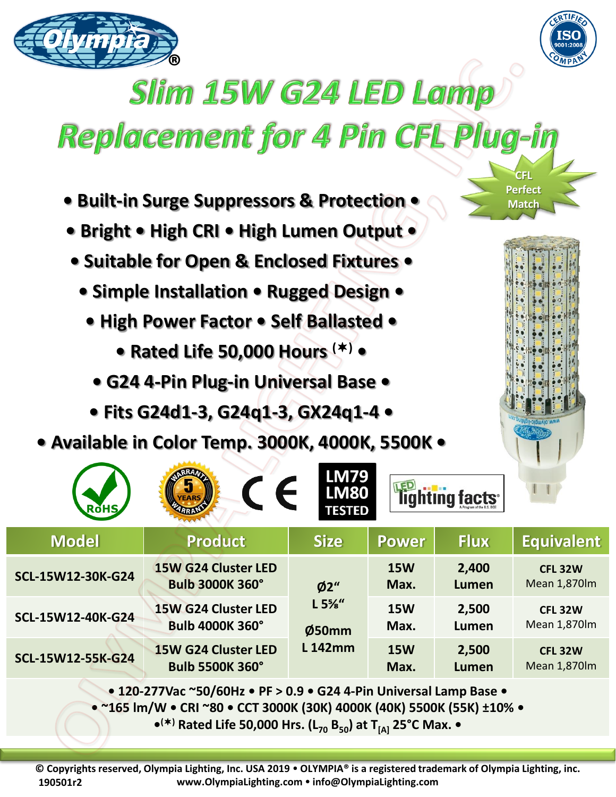



**CFL Perfect Match** 

## **Slim 15W G24 LED Lamp**

## Replacement for 4 Pin CFL Plug-in

- **Built-in Surge Suppressors & Protection •**
- **Bright • High CRI • High Lumen Output •**
- **Suitable for Open & Enclosed Fixtures •**
	- **Simple Installation Rugged Design •**
		- **High Power Factor Self Ballasted** 
			- **Rated Life 50,000 Hours () •**
			- **G24 4-Pin Plug-in Universal Base**
		- **Fits G24d1-3, G24q1-3, GX24q1-4 •**
- **Available in Color Temp. 3000K, 4000K, 5500K •**

| <b>ROHS</b>                                                                                        | $\epsilon$<br><b>EARS</b>                            | <b>LM79</b><br><b>LM80</b><br><b>TESTED</b> |                    | lighting facts <sup>®</sup> |                                       |
|----------------------------------------------------------------------------------------------------|------------------------------------------------------|---------------------------------------------|--------------------|-----------------------------|---------------------------------------|
| <b>Model</b>                                                                                       | <b>Product</b>                                       | <b>Size</b>                                 | <b>Power</b>       | <b>Flux</b>                 | <b>Equivalent</b>                     |
| SCL-15W12-30K-G24                                                                                  | <b>15W G24 Cluster LED</b><br><b>Bulb 3000K 360°</b> | Ø2''                                        | <b>15W</b><br>Max. | 2,400<br>Lumen              | <b>CFL 32W</b><br>Mean 1,870lm        |
| SCL-15W12-40K-G24                                                                                  | 15W G24 Cluster LED<br><b>Bulb 4000K 360°</b>        | L 5%''<br>Ø50mm                             | <b>15W</b><br>Max. | 2,500<br>Lumen              | <b>CFL 32W</b><br>Mean 1,870lm        |
| SCL-15W12-55K-G24                                                                                  | 15W G24 Cluster LED<br><b>Bulb 5500K 360°</b>        | <b>L142mm</b>                               | <b>15W</b><br>Max. | 2,500<br>Lumen              | <b>CFL 32W</b><br><b>Mean 1,870lm</b> |
| $\bullet$ 120-277Vac ~50/60Hz $\bullet$ PF > 0.9 $\bullet$ G24 4-Pin Universal Lamp Base $\bullet$ |                                                      |                                             |                    |                             |                                       |

**• 120-277Vac ~50/60Hz • PF > 0.9 • G24 4-Pin Universal Lamp Base •**

**• ~165 lm/W • CRI ~80 • CCT 3000K (30K) 4000K (40K) 5500K (55K) ±10% •**

**• () Rated Life 50,000 Hrs. (L<sup>70</sup> B50) at T[A] 25°C Max. •**

**© Copyrights reserved, Olympia Lighting, Inc. USA 2019 OLYMPIA® is a registered trademark of Olympia Lighting, inc. www.OlympiaLighting.com info@OlympiaLighting.com 190501r2**